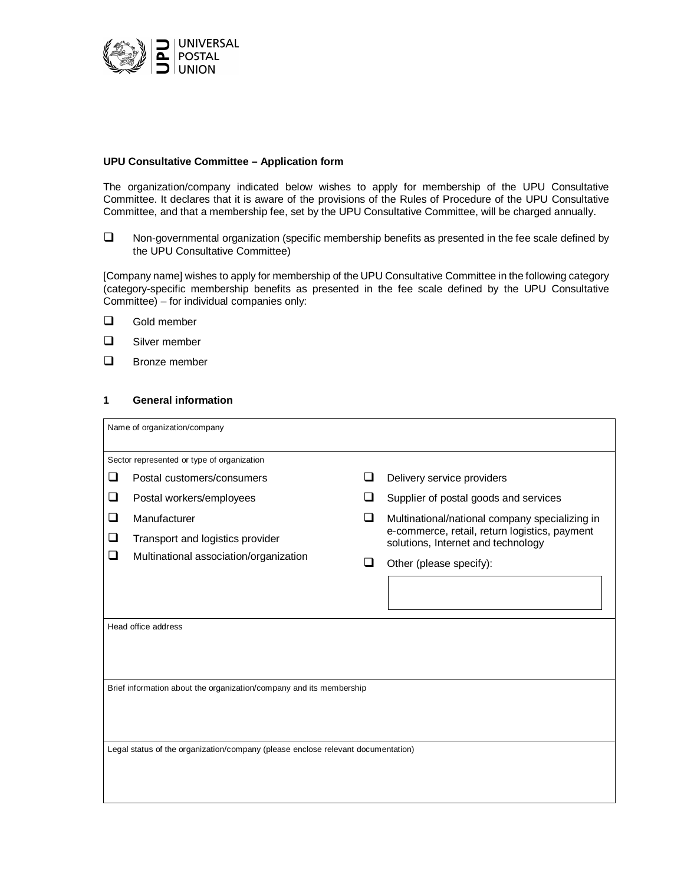

### **UPU Consultative Committee – Application form**

The organization/company indicated below wishes to apply for membership of the UPU Consultative Committee. It declares that it is aware of the provisions of the Rules of Procedure of the UPU Consultative Committee, and that a membership fee, set by the UPU Consultative Committee, will be charged annually.

 $\Box$  Non-governmental organization (specific membership benefits as presented in the fee scale defined by the UPU Consultative Committee)

[Company name] wishes to apply for membership of the UPU Consultative Committee in the following category (category-specific membership benefits as presented in the fee scale defined by the UPU Consultative Committee) – for individual companies only:

- **Q** Gold member
- Silver member
- **D** Bronze member

## **1 General information**

| Name of organization/company                                                     |                                        |     |                                                                                     |  |  |  |
|----------------------------------------------------------------------------------|----------------------------------------|-----|-------------------------------------------------------------------------------------|--|--|--|
| Sector represented or type of organization                                       |                                        |     |                                                                                     |  |  |  |
| ❏                                                                                | Postal customers/consumers             |     | Delivery service providers                                                          |  |  |  |
| ❏                                                                                | Postal workers/employees               |     | Supplier of postal goods and services                                               |  |  |  |
| ❏                                                                                | Manufacturer                           | ❏   | Multinational/national company specializing in                                      |  |  |  |
| ⊔                                                                                | Transport and logistics provider       |     | e-commerce, retail, return logistics, payment<br>solutions, Internet and technology |  |  |  |
| ⊔                                                                                | Multinational association/organization | l 1 | Other (please specify):                                                             |  |  |  |
|                                                                                  |                                        |     |                                                                                     |  |  |  |
| Head office address                                                              |                                        |     |                                                                                     |  |  |  |
|                                                                                  |                                        |     |                                                                                     |  |  |  |
| Brief information about the organization/company and its membership              |                                        |     |                                                                                     |  |  |  |
|                                                                                  |                                        |     |                                                                                     |  |  |  |
|                                                                                  |                                        |     |                                                                                     |  |  |  |
| Legal status of the organization/company (please enclose relevant documentation) |                                        |     |                                                                                     |  |  |  |
|                                                                                  |                                        |     |                                                                                     |  |  |  |
|                                                                                  |                                        |     |                                                                                     |  |  |  |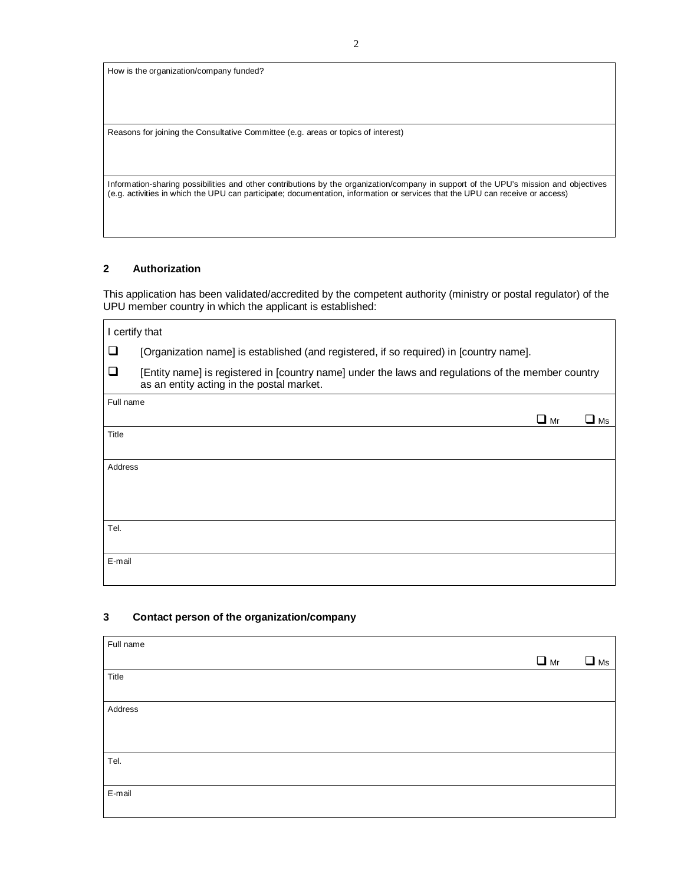How is the organization/company funded?

Reasons for joining the Consultative Committee (e.g. areas or topics of interest)

Information-sharing possibilities and other contributions by the organization/company in support of the UPU's mission and objectives (e.g. activities in which the UPU can participate; documentation, information or services that the UPU can receive or access)

#### **2 Authorization**

This application has been validated/accredited by the competent authority (ministry or postal regulator) of the UPU member country in which the applicant is established:

| I certify that |                                                                                                                                                 |  |  |  |
|----------------|-------------------------------------------------------------------------------------------------------------------------------------------------|--|--|--|
| ❏              | [Organization name] is established (and registered, if so required) in [country name].                                                          |  |  |  |
| ❏              | [Entity name] is registered in [country name] under the laws and regulations of the member country<br>as an entity acting in the postal market. |  |  |  |
| Full name      |                                                                                                                                                 |  |  |  |
|                | $\Box$ Mr<br>$\blacksquare$ Ms                                                                                                                  |  |  |  |
| Title          |                                                                                                                                                 |  |  |  |
|                |                                                                                                                                                 |  |  |  |
| Address        |                                                                                                                                                 |  |  |  |
|                |                                                                                                                                                 |  |  |  |
|                |                                                                                                                                                 |  |  |  |
| Tel.           |                                                                                                                                                 |  |  |  |
|                |                                                                                                                                                 |  |  |  |
| E-mail         |                                                                                                                                                 |  |  |  |
|                |                                                                                                                                                 |  |  |  |

## **3 Contact person of the organization/company**

| Full name |           |              |
|-----------|-----------|--------------|
|           | $\Box$ Mr | $\square$ Ms |
| Title     |           |              |
|           |           |              |
| Address   |           |              |
|           |           |              |
|           |           |              |
| Tel.      |           |              |
|           |           |              |
| E-mail    |           |              |
|           |           |              |